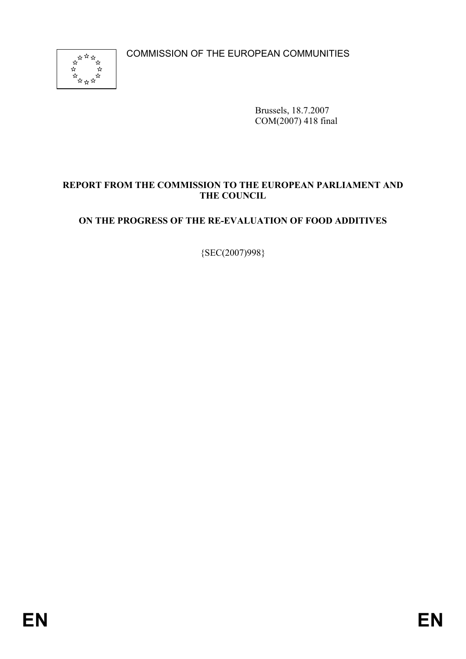COMMISSION OF THE EUROPEAN COMMUNITIES



Brussels, 18.7.2007 COM(2007) 418 final

# **REPORT FROM THE COMMISSION TO THE EUROPEAN PARLIAMENT AND THE COUNCIL**

# **ON THE PROGRESS OF THE RE-EVALUATION OF FOOD ADDITIVES**

{SEC(2007)998}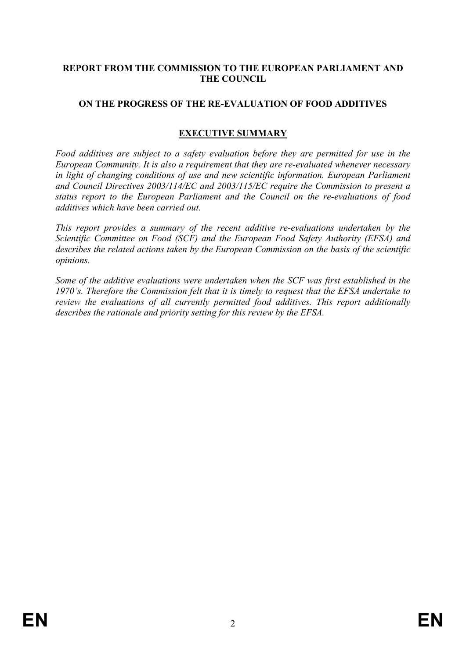# **REPORT FROM THE COMMISSION TO THE EUROPEAN PARLIAMENT AND THE COUNCIL**

# **ON THE PROGRESS OF THE RE-EVALUATION OF FOOD ADDITIVES**

### **EXECUTIVE SUMMARY**

*Food additives are subject to a safety evaluation before they are permitted for use in the European Community. It is also a requirement that they are re-evaluated whenever necessary in light of changing conditions of use and new scientific information. European Parliament and Council Directives 2003/114/EC and 2003/115/EC require the Commission to present a status report to the European Parliament and the Council on the re-evaluations of food additives which have been carried out.* 

*This report provides a summary of the recent additive re-evaluations undertaken by the Scientific Committee on Food (SCF) and the European Food Safety Authority (EFSA) and describes the related actions taken by the European Commission on the basis of the scientific opinions.* 

*Some of the additive evaluations were undertaken when the SCF was first established in the 1970's. Therefore the Commission felt that it is timely to request that the EFSA undertake to review the evaluations of all currently permitted food additives. This report additionally describes the rationale and priority setting for this review by the EFSA.*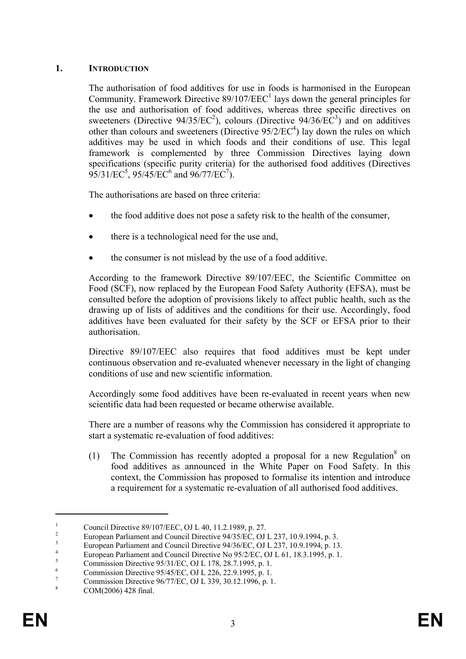# **1. INTRODUCTION**

The authorisation of food additives for use in foods is harmonised in the European Community. Framework Directive  $89/107/EEC<sup>1</sup>$  lays down the general principles for the use and authorisation of food additives, whereas three specific directives on sweeteners (Directive  $94/35/EC^2$ ), colours (Directive  $94/36/EC^3$ ) and on additives other than colours and sweeteners (Directive  $95/2/EC^4$ ) lay down the rules on which additives may be used in which foods and their conditions of use. This legal framework is complemented by three Commission Directives laying down specifications (specific purity criteria) for the authorised food additives (Directives  $95/31/EC^5$ ,  $95/45/EC^6$  and  $96/77/EC^7$ ).

The authorisations are based on three criteria:

- the food additive does not pose a safety risk to the health of the consumer,
- there is a technological need for the use and.
- the consumer is not mislead by the use of a food additive.

According to the framework Directive 89/107/EEC, the Scientific Committee on Food (SCF), now replaced by the European Food Safety Authority (EFSA), must be consulted before the adoption of provisions likely to affect public health, such as the drawing up of lists of additives and the conditions for their use. Accordingly, food additives have been evaluated for their safety by the SCF or EFSA prior to their authorisation.

Directive 89/107/EEC also requires that food additives must be kept under continuous observation and re-evaluated whenever necessary in the light of changing conditions of use and new scientific information.

Accordingly some food additives have been re-evaluated in recent years when new scientific data had been requested or became otherwise available.

There are a number of reasons why the Commission has considered it appropriate to start a systematic re-evaluation of food additives:

(1) The Commission has recently adopted a proposal for a new Regulation<sup>8</sup> on food additives as announced in the White Paper on Food Safety. In this context, the Commission has proposed to formalise its intention and introduce a requirement for a systematic re-evaluation of all authorised food additives.

<sup>1</sup> Council Directive 89/107/EEC, OJ L 40, 11.2.1989, p. 27.

<sup>2</sup> European Parliament and Council Directive 94/35/EC, OJ L 237, 10.9.1994, p. 3. 3

European Parliament and Council Directive 94/36/EC, OJ L 237, 10.9.1994, p. 13.

<sup>4</sup> European Parliament and Council Directive No 95/2/EC, OJ L 61, 18.3.1995, p. 1. 5

Commission Directive 95/31/EC, OJ L 178, 28.7.1995, p. 1.

<sup>6</sup> Commission Directive 95/45/EC, OJ L 226, 22.9.1995, p. 1. 7

Commission Directive 96/77/EC, OJ L 339, 30.12.1996, p. 1. 8

COM(2006) 428 final.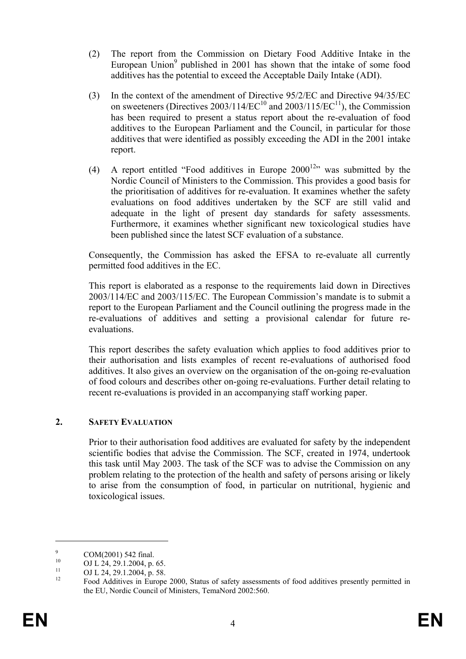- (2) The report from the Commission on Dietary Food Additive Intake in the European Union<sup>9</sup> published in 2001 has shown that the intake of some food additives has the potential to exceed the Acceptable Daily Intake (ADI).
- (3) In the context of the amendment of Directive 95/2/EC and Directive 94/35/EC on sweeteners (Directives  $2003/114/EC^{10}$  and  $2003/115/EC^{11}$ ), the Commission has been required to present a status report about the re-evaluation of food additives to the European Parliament and the Council, in particular for those additives that were identified as possibly exceeding the ADI in the 2001 intake report.
- (4) A report entitled "Food additives in Europe  $2000^{12}$ " was submitted by the Nordic Council of Ministers to the Commission. This provides a good basis for the prioritisation of additives for re-evaluation. It examines whether the safety evaluations on food additives undertaken by the SCF are still valid and adequate in the light of present day standards for safety assessments. Furthermore, it examines whether significant new toxicological studies have been published since the latest SCF evaluation of a substance.

Consequently, the Commission has asked the EFSA to re-evaluate all currently permitted food additives in the EC.

This report is elaborated as a response to the requirements laid down in Directives 2003/114/EC and 2003/115/EC. The European Commission's mandate is to submit a report to the European Parliament and the Council outlining the progress made in the re-evaluations of additives and setting a provisional calendar for future reevaluations.

This report describes the safety evaluation which applies to food additives prior to their authorisation and lists examples of recent re-evaluations of authorised food additives. It also gives an overview on the organisation of the on-going re-evaluation of food colours and describes other on-going re-evaluations. Further detail relating to recent re-evaluations is provided in an accompanying staff working paper.

#### **2. SAFETY EVALUATION**

Prior to their authorisation food additives are evaluated for safety by the independent scientific bodies that advise the Commission. The SCF, created in 1974, undertook this task until May 2003. The task of the SCF was to advise the Commission on any problem relating to the protection of the health and safety of persons arising or likely to arise from the consumption of food, in particular on nutritional, hygienic and toxicological issues.

<sup>9</sup> <sup>9</sup> COM(2001) 542 final.

<sup>&</sup>lt;sup>10</sup> OJ L 24, 29.1.2004, p. 65.

 $11$  OJ L 24, 29.1.2004, p. 58.

<sup>12</sup> Food Additives in Europe 2000, Status of safety assessments of food additives presently permitted in the EU, Nordic Council of Ministers, TemaNord 2002:560.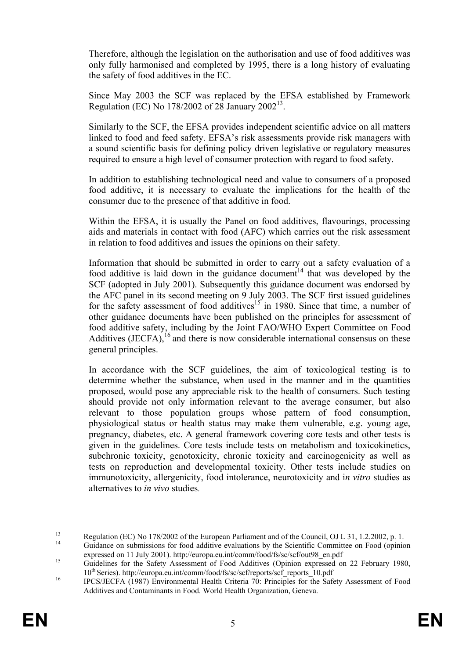Therefore, although the legislation on the authorisation and use of food additives was only fully harmonised and completed by 1995, there is a long history of evaluating the safety of food additives in the EC.

Since May 2003 the SCF was replaced by the EFSA established by Framework Regulation (EC) No  $178/2002$  of 28 January  $2002^{13}$ .

Similarly to the SCF, the EFSA provides independent scientific advice on all matters linked to food and feed safety. EFSA's risk assessments provide risk managers with a sound scientific basis for defining policy driven legislative or regulatory measures required to ensure a high level of consumer protection with regard to food safety.

In addition to establishing technological need and value to consumers of a proposed food additive, it is necessary to evaluate the implications for the health of the consumer due to the presence of that additive in food.

Within the EFSA, it is usually the Panel on food additives, flavourings, processing aids and materials in contact with food (AFC) which carries out the risk assessment in relation to food additives and issues the opinions on their safety.

Information that should be submitted in order to carry out a safety evaluation of a food additive is laid down in the guidance document<sup>14</sup> that was developed by the SCF (adopted in July 2001). Subsequently this guidance document was endorsed by the AFC panel in its second meeting on 9 July 2003. The SCF first issued guidelines for the safety assessment of food additives<sup>15</sup> in 1980. Since that time, a number of other guidance documents have been published on the principles for assessment of food additive safety, including by the Joint FAO/WHO Expert Committee on Food Additives (JECFA),  $^{16}$  and there is now considerable international consensus on these general principles.

In accordance with the SCF guidelines, the aim of toxicological testing is to determine whether the substance, when used in the manner and in the quantities proposed, would pose any appreciable risk to the health of consumers. Such testing should provide not only information relevant to the average consumer, but also relevant to those population groups whose pattern of food consumption, physiological status or health status may make them vulnerable, e.g. young age, pregnancy, diabetes, etc. A general framework covering core tests and other tests is given in the guidelines. Core tests include tests on metabolism and toxicokinetics, subchronic toxicity, genotoxicity, chronic toxicity and carcinogenicity as well as tests on reproduction and developmental toxicity. Other tests include studies on immunotoxicity, allergenicity, food intolerance, neurotoxicity and i*n vitro* studies as alternatives to *in vivo* studies.

<u>.</u>

<sup>13</sup> Regulation (EC) No 178/2002 of the European Parliament and of the Council, OJ L 31, 1.2.2002, p. 1. Guidance on submissions for food additive evaluations by the Scientific Committee on Food (opinion

expressed on 11 July 2001). http://europa.eu.int/comm/food/fs/sc/scf/out98\_en.pdf<br>
Guidelines for the Safety Assessment of Food Additives (Opinion expressed on 22 February 1980,

<sup>10&</sup>lt;sup>th</sup> Series). http://europa.eu.int/comm/food/fs/sc/scf/reports/scf\_reports\_10.pdf<br>
IPCS/JECFA (1987) Environmental Health Criteria 70: Principles for the Safety Assessment of Food

Additives and Contaminants in Food. World Health Organization, Geneva.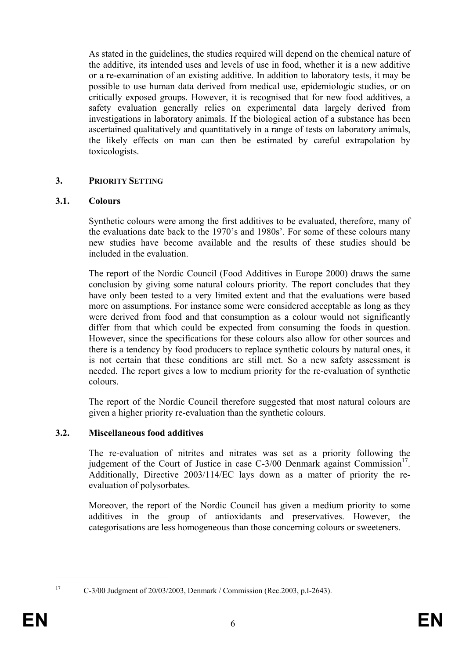As stated in the guidelines, the studies required will depend on the chemical nature of the additive, its intended uses and levels of use in food, whether it is a new additive or a re-examination of an existing additive. In addition to laboratory tests, it may be possible to use human data derived from medical use, epidemiologic studies, or on critically exposed groups. However, it is recognised that for new food additives, a safety evaluation generally relies on experimental data largely derived from investigations in laboratory animals. If the biological action of a substance has been ascertained qualitatively and quantitatively in a range of tests on laboratory animals, the likely effects on man can then be estimated by careful extrapolation by toxicologists.

# **3. PRIORITY SETTING**

### **3.1. Colours**

Synthetic colours were among the first additives to be evaluated, therefore, many of the evaluations date back to the 1970's and 1980s'. For some of these colours many new studies have become available and the results of these studies should be included in the evaluation.

The report of the Nordic Council (Food Additives in Europe 2000) draws the same conclusion by giving some natural colours priority. The report concludes that they have only been tested to a very limited extent and that the evaluations were based more on assumptions. For instance some were considered acceptable as long as they were derived from food and that consumption as a colour would not significantly differ from that which could be expected from consuming the foods in question. However, since the specifications for these colours also allow for other sources and there is a tendency by food producers to replace synthetic colours by natural ones, it is not certain that these conditions are still met. So a new safety assessment is needed. The report gives a low to medium priority for the re-evaluation of synthetic colours.

The report of the Nordic Council therefore suggested that most natural colours are given a higher priority re-evaluation than the synthetic colours.

#### **3.2. Miscellaneous food additives**

The re-evaluation of nitrites and nitrates was set as a priority following the judgement of the Court of Justice in case C-3/00 Denmark against Commission<sup>17</sup>. Additionally, Directive 2003/114/EC lays down as a matter of priority the reevaluation of polysorbates.

Moreover, the report of the Nordic Council has given a medium priority to some additives in the group of antioxidants and preservatives. However, the categorisations are less homogeneous than those concerning colours or sweeteners.

<sup>1</sup> 

<sup>17</sup> C-3/00 Judgment of 20/03/2003, Denmark / Commission (Rec.2003, p.I-2643).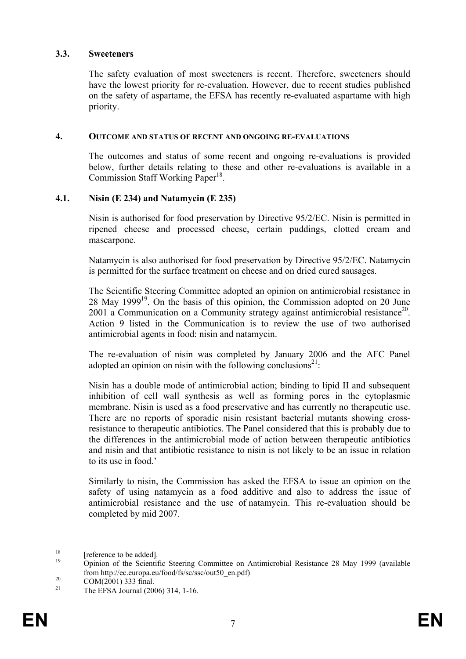#### **3.3. Sweeteners**

The safety evaluation of most sweeteners is recent. Therefore, sweeteners should have the lowest priority for re-evaluation. However, due to recent studies published on the safety of aspartame, the EFSA has recently re-evaluated aspartame with high priority.

#### **4. OUTCOME AND STATUS OF RECENT AND ONGOING RE-EVALUATIONS**

The outcomes and status of some recent and ongoing re-evaluations is provided below, further details relating to these and other re-evaluations is available in a Commission Staff Working Paper<sup>18</sup>.

#### **4.1. Nisin (E 234) and Natamycin (E 235)**

Nisin is authorised for food preservation by Directive 95/2/EC. Nisin is permitted in ripened cheese and processed cheese, certain puddings, clotted cream and mascarpone.

Natamycin is also authorised for food preservation by Directive 95/2/EC. Natamycin is permitted for the surface treatment on cheese and on dried cured sausages.

The Scientific Steering Committee adopted an opinion on antimicrobial resistance in 28 May 199919. On the basis of this opinion, the Commission adopted on 20 June 2001 a Communication on a Community strategy against antimicrobial resistance<sup>20</sup>. Action 9 listed in the Communication is to review the use of two authorised antimicrobial agents in food: nisin and natamycin.

The re-evaluation of nisin was completed by January 2006 and the AFC Panel adopted an opinion on nisin with the following conclusions<sup>21</sup>:

Nisin has a double mode of antimicrobial action; binding to lipid II and subsequent inhibition of cell wall synthesis as well as forming pores in the cytoplasmic membrane. Nisin is used as a food preservative and has currently no therapeutic use. There are no reports of sporadic nisin resistant bacterial mutants showing crossresistance to therapeutic antibiotics. The Panel considered that this is probably due to the differences in the antimicrobial mode of action between therapeutic antibiotics and nisin and that antibiotic resistance to nisin is not likely to be an issue in relation to its use in food.'

Similarly to nisin, the Commission has asked the EFSA to issue an opinion on the safety of using natamycin as a food additive and also to address the issue of antimicrobial resistance and the use of natamycin. This re-evaluation should be completed by mid 2007.

 $18$  [reference to be added].

<sup>19</sup> Opinion of the Scientific Steering Committee on Antimicrobial Resistance 28 May 1999 (available from http://ec.europa.eu/food/fs/sc/ssc/out50\_en.pdf)<br>
COM(2001) 333 final.<br>
<sup>21</sup> COM(2001) <sup>1</sup> L(2006) 214.1 L(2006)

<sup>21</sup> The EFSA Journal (2006) 314, 1-16.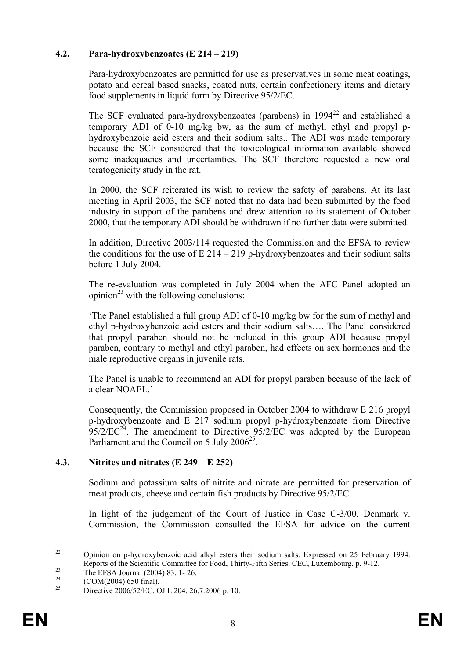## **4.2. Para-hydroxybenzoates (E 214 – 219)**

Para-hydroxybenzoates are permitted for use as preservatives in some meat coatings, potato and cereal based snacks, coated nuts, certain confectionery items and dietary food supplements in liquid form by Directive 95/2/EC.

The SCF evaluated para-hydroxybenzoates (parabens) in  $1994^{22}$  and established a temporary ADI of 0-10 mg/kg bw, as the sum of methyl, ethyl and propyl phydroxybenzoic acid esters and their sodium salts.. The ADI was made temporary because the SCF considered that the toxicological information available showed some inadequacies and uncertainties. The SCF therefore requested a new oral teratogenicity study in the rat.

In 2000, the SCF reiterated its wish to review the safety of parabens. At its last meeting in April 2003, the SCF noted that no data had been submitted by the food industry in support of the parabens and drew attention to its statement of October 2000, that the temporary ADI should be withdrawn if no further data were submitted.

In addition, Directive 2003/114 requested the Commission and the EFSA to review the conditions for the use of  $E$  214 – 219 p-hydroxybenzoates and their sodium salts before 1 July 2004.

The re-evaluation was completed in July 2004 when the AFC Panel adopted an opinion<sup>23</sup> with the following conclusions:

'The Panel established a full group ADI of 0-10 mg/kg bw for the sum of methyl and ethyl p-hydroxybenzoic acid esters and their sodium salts…. The Panel considered that propyl paraben should not be included in this group ADI because propyl paraben, contrary to methyl and ethyl paraben, had effects on sex hormones and the male reproductive organs in juvenile rats.

The Panel is unable to recommend an ADI for propyl paraben because of the lack of a clear NOAEL.'

Consequently, the Commission proposed in October 2004 to withdraw E 216 propyl p-hydroxybenzoate and E 217 sodium propyl p-hydroxybenzoate from Directive  $95/2/EC^{24}$ . The amendment to Directive  $95/2/EC$  was adopted by the European Parliament and the Council on 5 July  $2006^{25}$ .

#### **4.3. Nitrites and nitrates (E 249 – E 252)**

Sodium and potassium salts of nitrite and nitrate are permitted for preservation of meat products, cheese and certain fish products by Directive 95/2/EC.

In light of the judgement of the Court of Justice in Case C-3/00, Denmark v. Commission, the Commission consulted the EFSA for advice on the current

<sup>&</sup>lt;sup>22</sup> Opinion on p-hydroxybenzoic acid alkyl esters their sodium salts. Expressed on 25 February 1994. Reports of the Scientific Committee for Food, Thirty-Fifth Series. CEC, Luxembourg. p. 9-12.<br>
The EFSA Journal (2004) 83, 1- 26.<br>
(COM(2004) 650 Grab)

<sup>&</sup>lt;sup>24</sup> (COM(2004) 650 final).

<sup>25</sup> Directive 2006/52/EC, OJ L 204, 26.7.2006 p. 10.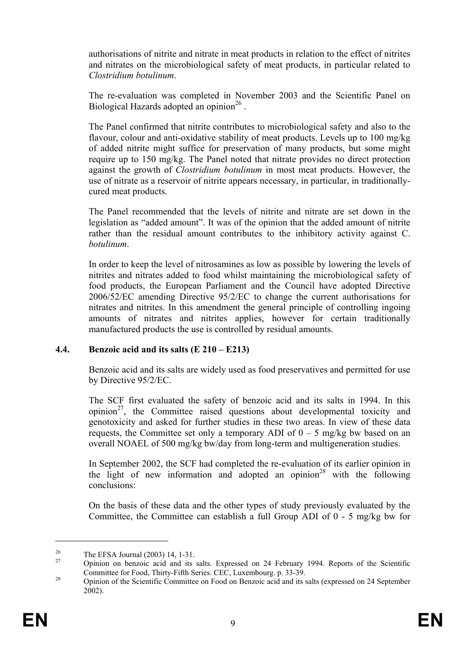authorisations of nitrite and nitrate in meat products in relation to the effect of nitrites and nitrates on the microbiological safety of meat products, in particular related to *Clostridium botulinum*.

The re-evaluation was completed in November 2003 and the Scientific Panel on Biological Hazards adopted an opinion<sup>26</sup>.

The Panel confirmed that nitrite contributes to microbiological safety and also to the flavour, colour and anti-oxidative stability of meat products. Levels up to 100 mg/kg of added nitrite might suffice for preservation of many products, but some might require up to 150 mg/kg. The Panel noted that nitrate provides no direct protection against the growth of *Clostridium botulinum* in most meat products. However, the use of nitrate as a reservoir of nitrite appears necessary, in particular, in traditionallycured meat products.

The Panel recommended that the levels of nitrite and nitrate are set down in the legislation as "added amount". It was of the opinion that the added amount of nitrite rather than the residual amount contributes to the inhibitory activity against C. *botulinum*.

In order to keep the level of nitrosamines as low as possible by lowering the levels of nitrites and nitrates added to food whilst maintaining the microbiological safety of food products, the European Parliament and the Council have adopted Directive 2006/52/EC amending Directive 95/2/EC to change the current authorisations for nitrates and nitrites. In this amendment the general principle of controlling ingoing amounts of nitrates and nitrites applies, however for certain traditionally manufactured products the use is controlled by residual amounts.

# **4.4. Benzoic acid and its salts (E 210 – E213)**

Benzoic acid and its salts are widely used as food preservatives and permitted for use by Directive 95/2/EC.

The SCF first evaluated the safety of benzoic acid and its salts in 1994. In this opinion $^{27}$ , the Committee raised questions about developmental toxicity and genotoxicity and asked for further studies in these two areas. In view of these data requests, the Committee set only a temporary ADI of  $0 - 5$  mg/kg bw based on an overall NOAEL of 500 mg/kg bw/day from long-term and multigeneration studies.

In September 2002, the SCF had completed the re-evaluation of its earlier opinion in the light of new information and adopted an opinion<sup>28</sup> with the following conclusions:

On the basis of these data and the other types of study previously evaluated by the Committee, the Committee can establish a full Group ADI of 0 - 5 mg/kg bw for

<sup>&</sup>lt;sup>26</sup> The EFSA Journal (2003) 14, 1-31.

Opinion on benzoic acid and its salts. Expressed on 24 February 1994. Reports of the Scientific Committee for Food, Thirty-Fifth Series. CEC, Luxembourg. p. 33-39.

 $^{28}$  Opinion of the Scientific Committee on Food on Benzoic acid and its salts (expressed on 24 September 2002).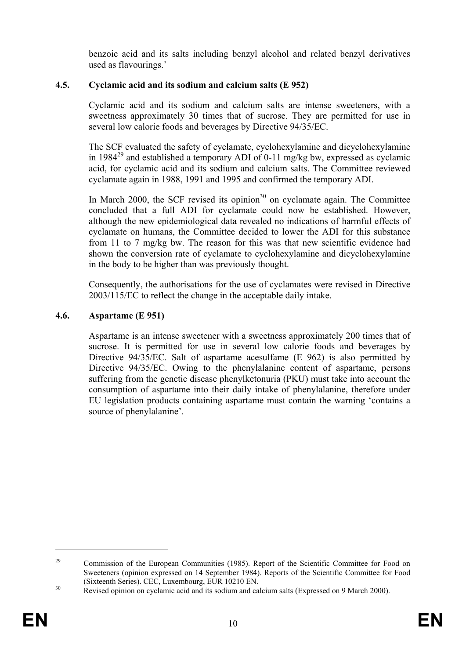benzoic acid and its salts including benzyl alcohol and related benzyl derivatives used as flavourings.'

# **4.5. Cyclamic acid and its sodium and calcium salts (E 952)**

Cyclamic acid and its sodium and calcium salts are intense sweeteners, with a sweetness approximately 30 times that of sucrose. They are permitted for use in several low calorie foods and beverages by Directive 94/35/EC.

The SCF evaluated the safety of cyclamate, cyclohexylamine and dicyclohexylamine in 1984<sup>29</sup> and established a temporary ADI of 0-11 mg/kg bw, expressed as cyclamic acid, for cyclamic acid and its sodium and calcium salts. The Committee reviewed cyclamate again in 1988, 1991 and 1995 and confirmed the temporary ADI.

In March 2000, the SCF revised its opinion<sup>30</sup> on cyclamate again. The Committee concluded that a full ADI for cyclamate could now be established. However, although the new epidemiological data revealed no indications of harmful effects of cyclamate on humans, the Committee decided to lower the ADI for this substance from 11 to 7 mg/kg bw. The reason for this was that new scientific evidence had shown the conversion rate of cyclamate to cyclohexylamine and dicyclohexylamine in the body to be higher than was previously thought.

Consequently, the authorisations for the use of cyclamates were revised in Directive 2003/115/EC to reflect the change in the acceptable daily intake.

# **4.6. Aspartame (E 951)**

Aspartame is an intense sweetener with a sweetness approximately 200 times that of sucrose. It is permitted for use in several low calorie foods and beverages by Directive 94/35/EC. Salt of aspartame acesulfame (E 962) is also permitted by Directive 94/35/EC. Owing to the phenylalanine content of aspartame, persons suffering from the genetic disease phenylketonuria (PKU) must take into account the consumption of aspartame into their daily intake of phenylalanine, therefore under EU legislation products containing aspartame must contain the warning 'contains a source of phenylalanine'.

<u>.</u>

<sup>&</sup>lt;sup>29</sup> Commission of the European Communities (1985). Report of the Scientific Committee for Food on Sweeteners (opinion expressed on 14 September 1984). Reports of the Scientific Committee for Food (Sixteenth Series). CEC, Luxembourg, EUR 10210 EN.<br><sup>30</sup> Revised opinion on cyclamic acid and its sodium and calcium salts (Expressed on 9 March 2000).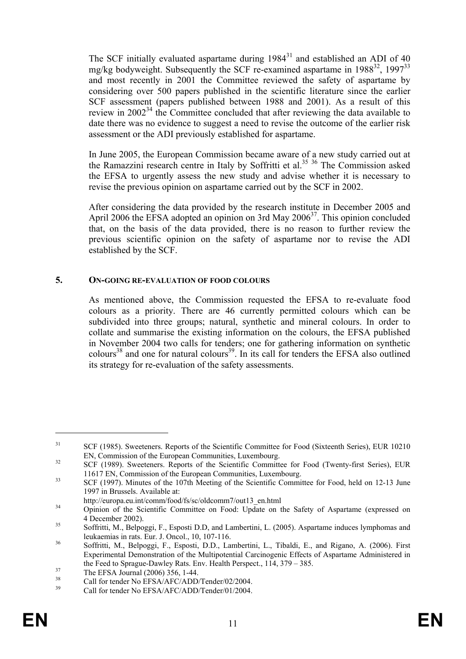The SCF initially evaluated aspartame during  $1984^{31}$  and established an ADI of 40 mg/kg bodyweight. Subsequently the SCF re-examined aspartame in  $1988^{32}$ ,  $1997^{33}$ and most recently in 2001 the Committee reviewed the safety of aspartame by considering over 500 papers published in the scientific literature since the earlier SCF assessment (papers published between 1988 and 2001). As a result of this review in 2002<sup>34</sup> the Committee concluded that after reviewing the data available to date there was no evidence to suggest a need to revise the outcome of the earlier risk assessment or the ADI previously established for aspartame.

In June 2005, the European Commission became aware of a new study carried out at the Ramazzini research centre in Italy by Soffritti et al.<sup>35 36</sup> The Commission asked the EFSA to urgently assess the new study and advise whether it is necessary to revise the previous opinion on aspartame carried out by the SCF in 2002.

After considering the data provided by the research institute in December 2005 and April 2006 the EFSA adopted an opinion on 3rd May 2006<sup>37</sup>. This opinion concluded that, on the basis of the data provided, there is no reason to further review the previous scientific opinion on the safety of aspartame nor to revise the ADI established by the SCF.

### **5. ON-GOING RE-EVALUATION OF FOOD COLOURS**

As mentioned above, the Commission requested the EFSA to re-evaluate food colours as a priority. There are 46 currently permitted colours which can be subdivided into three groups; natural, synthetic and mineral colours. In order to collate and summarise the existing information on the colours, the EFSA published in November 2004 two calls for tenders; one for gathering information on synthetic colours<sup>38</sup> and one for natural colours<sup>39</sup>. In its call for tenders the EFSA also outlined its strategy for re-evaluation of the safety assessments.

<sup>&</sup>lt;sup>31</sup> SCF (1985). Sweeteners. Reports of the Scientific Committee for Food (Sixteenth Series), EUR 10210

EN, Commission of the European Communities, Luxembourg.<br>
32 SCF (1989). Sweeteners. Reports of the Scientific Committee for Food (Twenty-first Series), EUR

<sup>11617</sup> EN, Commission of the European Communities, Luxembourg.<br>
SCF (1997). Minutes of the 107th Meeting of the Scientific Committee for Food, held on 12-13 June 1997 in Brussels. Available at:

http://europa.eu.int/comm/food/fs/sc/oldcomm7/out13\_en.html<br>
34 Opinion of the Scientific Committee on Food: Update on the Safety of Aspartame (expressed on 4 December 2002).<br>
Soffritti, M., Belpoggi, F., Esposti D.D, and Lambertini, L. (2005). Aspartame induces lymphomas and

leukaemias in rats. Eur. J. Oncol., 10, 107-116.<br>
36 Soffritti, M., Belpoggi, F., Esposti, D.D., Lambertini, L., Tibaldi, E., and Rigano, A. (2006). First

Experimental Demonstration of the Multipotential Carcinogenic Effects of Aspartame Administered in the Feed to Sprague-Dawley Rats. Env. Health Perspect.,  $114$ ,  $379 - 385$ .<br>The EFSA Journal (2006) 356, 1-44.<br><sup>38</sup> Call for tandar Na EESA (AEC/ADD/Tandar/02/2004

<sup>&</sup>lt;sup>38</sup> Call for tender No EFSA/AFC/ADD/Tender/02/2004.<br>
Call for tender No EFSA/AFC/ADD/Tender/01/2004.

Call for tender No EFSA/AFC/ADD/Tender/01/2004.